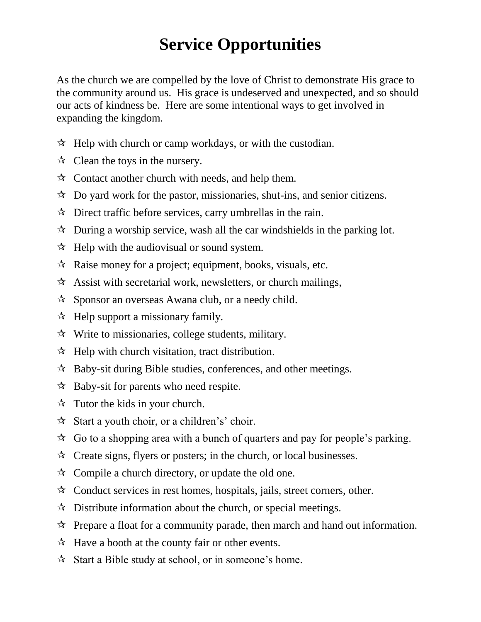## **Service Opportunities**

As the church we are compelled by the love of Christ to demonstrate His grace to the community around us. His grace is undeserved and unexpected, and so should our acts of kindness be. Here are some intentional ways to get involved in expanding the kingdom.

- $\mathcal{A}$  Help with church or camp workdays, or with the custodian.
- $\mathcal{R}$  Clean the toys in the nursery.
- $\mathcal{R}$  Contact another church with needs, and help them.
- $\mathcal{R}$  Do yard work for the pastor, missionaries, shut-ins, and senior citizens.
- $\mathcal{R}$  Direct traffic before services, carry umbrellas in the rain.
- $\mathcal{R}$  During a worship service, wash all the car windshields in the parking lot.
- $\mathcal{A}$  Help with the audiovisual or sound system.
- $\mathcal{R}$  Raise money for a project; equipment, books, visuals, etc.
- $\mathcal{R}$  Assist with secretarial work, newsletters, or church mailings,
- $\mathcal{R}$  Sponsor an overseas Awana club, or a needy child.
- $\mathcal{A}$  Help support a missionary family.
- $\mathcal{R}$  Write to missionaries, college students, military.
- $\mathcal{A}$  Help with church visitation, tract distribution.
- $\mathcal{R}$  Baby-sit during Bible studies, conferences, and other meetings.
- $\mathcal{R}$  Baby-sit for parents who need respite.
- $\forall$  Tutor the kids in your church.
- $\hat{x}$  Start a youth choir, or a children's' choir.
- $\mathcal{A}$  Go to a shopping area with a bunch of quarters and pay for people's parking.
- $\mathcal{R}$  Create signs, flyers or posters; in the church, or local businesses.
- $\mathcal{R}$  Compile a church directory, or update the old one.
- Conduct services in rest homes, hospitals, jails, street corners, other.
- $\mathcal{R}$  Distribute information about the church, or special meetings.
- $\mathcal{R}$  Prepare a float for a community parade, then march and hand out information.
- $\mathcal{A}$  Have a booth at the county fair or other events.
- $\hat{x}$  Start a Bible study at school, or in someone's home.